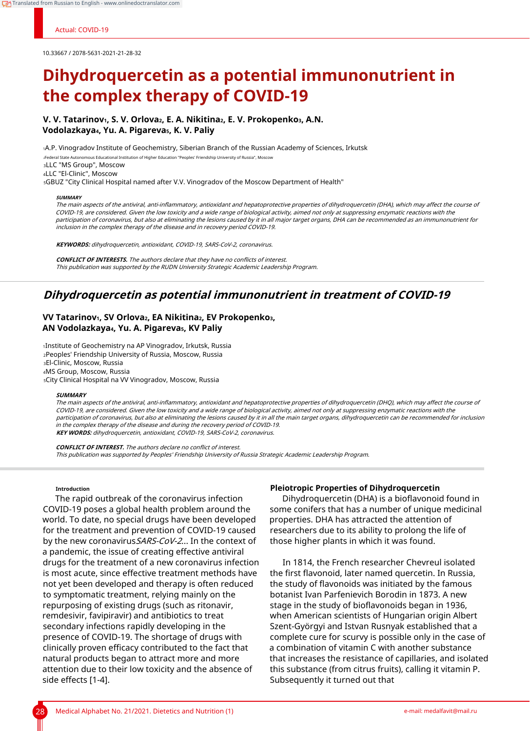# Actual: COVID-19

10.33667 / 2078-5631-2021-21-28-32

# **Dihydroquercetin as a potential immunonutrient in the complex therapy of COVID-19**

**V. V. Tatarinov1, S. V. Orlova2, E. A. Nikitina2, E. V. Prokopenko3, A.N. Vodolazkaya4, Yu. A. Pigareva5, K. V. Paliy**

<sup>1</sup>A.P. Vinogradov Institute of Geochemistry, Siberian Branch of the Russian Academy of Sciences, Irkutsk

<sup>2</sup>Federal State Autonomous Educational Institution of Higher Education "Peoples' Friendship University of Russia", Moscow

<sup>3</sup>LLC "MS Group", Moscow

<sup>4</sup>LLC "El-Clinic", Moscow

<sup>5</sup>GBUZ "City Clinical Hospital named after V.V. Vinogradov of the Moscow Department of Health"

### **SUMMARY**

The main aspects of the antiviral, anti-inflammatory, antioxidant and hepatoprotective properties of dihydroquercetin (DHA), which may affect the course of COVID-19, are considered. Given the low toxicity and a wide range of biological activity, aimed not only at suppressing enzymatic reactions with the participation of coronavirus, but also at eliminating the lesions caused by it in all major target organs, DHA can be recommended as an immunonutrient for inclusion in the complex therapy of the disease and in recovery period COVID-19.

**KEYWORDS:** dihydroquercetin, antioxidant, COVID-19, SARS-CoV-2, coronavirus.

**CONFLICT OF INTERESTS.** The authors declare that they have no conflicts of interest. This publication was supported by the RUDN University Strategic Academic Leadership Program.

# **Dihydroquercetin as potential immunonutrient in treatment of COVID-19**

# **VV Tatarinov1, SV Orlova2, EA Nikitina2, EV Prokopenko3, AN Vodolazkaya4, Yu. A. Pigareva5, KV Paliy**

Institute of Geochemistry na AP Vinogradov, Irkutsk, Russia Рeoples' Friendship University of Russia, Moscow, Russia El-Clinic, Moscow, Russia MS Group, Moscow, Russia City Clinical Hospital na VV Vinogradov, Moscow, Russia

## **SUMMARY**

The main aspects of the antiviral, anti-inflammatory, antioxidant and hepatoprotective properties of dihydroquercetin (DHQ), which may affect the course of COVID-19, are considered. Given the low toxicity and a wide range of biological activity, aimed not only at suppressing enzymatic reactions with the participation of coronavirus, but also at eliminating the lesions caused by it in all the main target organs, dihydroquercetin can be recommended for inclusion in the complex therapy of the disease and during the recovery period of COVID-19. **KEY WORDS:** dihydroquercetin, antioxidant, COVID-19, SARS-CoV-2, coronavirus.

**CONFLICT OF INTEREST.** The authors declare no conflict of interest. This publication was supported by Peoples' Friendship University of Russia Strategic Academic Leadership Program.

# **Introduction**

The rapid outbreak of the coronavirus infection COVID-19 poses a global health problem around the world. To date, no special drugs have been developed for the treatment and prevention of COVID-19 caused by the new coronavirus SARS-CoV-2... In the context of a pandemic, the issue of creating effective antiviral drugs for the treatment of a new coronavirus infection is most acute, since effective treatment methods have not yet been developed and therapy is often reduced to symptomatic treatment, relying mainly on the repurposing of existing drugs (such as ritonavir, remdesivir, favipiravir) and antibiotics to treat secondary infections rapidly developing in the presence of COVID-19. The shortage of drugs with clinically proven efficacy contributed to the fact that natural products began to attract more and more attention due to their low toxicity and the absence of side effects [1-4].

# **Pleiotropic Properties of Dihydroquercetin**

Dihydroquercetin (DHA) is a bioflavonoid found in some conifers that has a number of unique medicinal properties. DHA has attracted the attention of researchers due to its ability to prolong the life of those higher plants in which it was found.

In 1814, the French researcher Chevreul isolated the first flavonoid, later named quercetin. In Russia, the study of flavonoids was initiated by the famous botanist Ivan Parfenievich Borodin in 1873. A new stage in the study of bioflavonoids began in 1936, when American scientists of Hungarian origin Albert Szent-Györgyi and Istvan Rusnyak established that a complete cure for scurvy is possible only in the case of a combination of vitamin C with another substance that increases the resistance of capillaries, and isolated this substance (from citrus fruits), calling it vitamin P. Subsequently it turned out that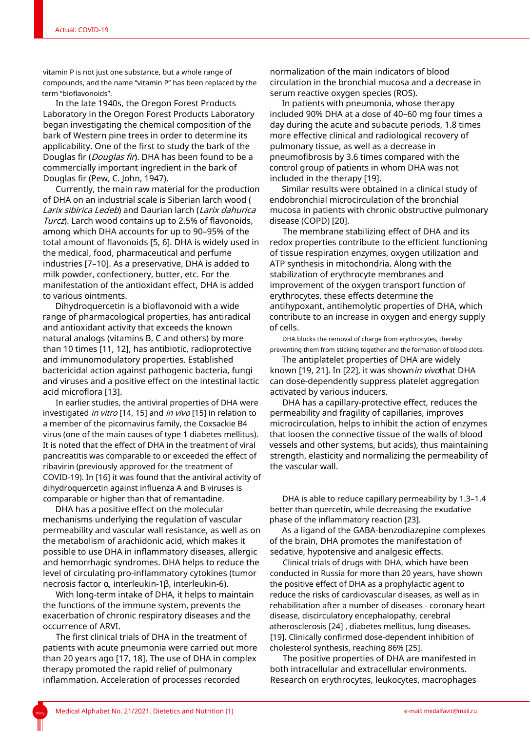vitamin P is not just one substance, but a whole range of compounds, and the name "vitamin P" has been replaced by the term "bioflavonoids".

In the late 1940s, the Oregon Forest Products Laboratory in the Oregon Forest Products Laboratory began investigating the chemical composition of the bark of Western pine trees in order to determine its applicability. One of the first to study the bark of the Douglas fir (*Douglas fir*). DHA has been found to be a commercially important ingredient in the bark of Douglas fir (Pew, C. John, 1947).

Currently, the main raw material for the production of DHA on an industrial scale is Siberian larch wood ( Larix sibirica Ledeb) and Daurian larch (Larix dahurica Turcz). Larch wood contains up to 2.5% of flavonoids, among which DHA accounts for up to 90–95% of the total amount of flavonoids [5, 6]. DHA is widely used in the medical, food, pharmaceutical and perfume industries [7–10]. As a preservative, DHA is added to milk powder, confectionery, butter, etc. For the manifestation of the antioxidant effect, DHA is added to various ointments.

Dihydroquercetin is a bioflavonoid with a wide range of pharmacological properties, has antiradical and antioxidant activity that exceeds the known natural analogs (vitamins B, C and others) by more than 10 times [11, 12], has antibiotic, radioprotective and immunomodulatory properties. Established bactericidal action against pathogenic bacteria, fungi and viruses and a positive effect on the intestinal lactic acid microflora [13].

In earlier studies, the antiviral properties of DHA were investigated *in vitro* [14, 15] and *in vivo* [15] in relation to a member of the picornavirus family, the Coxsackie B4 virus (one of the main causes of type 1 diabetes mellitus). It is noted that the effect of DHA in the treatment of viral pancreatitis was comparable to or exceeded the effect of ribavirin (previously approved for the treatment of COVID-19). In [16] it was found that the antiviral activity of dihydroquercetin against influenza A and B viruses is comparable or higher than that of remantadine.

DHA has a positive effect on the molecular mechanisms underlying the regulation of vascular permeability and vascular wall resistance, as well as on the metabolism of arachidonic acid, which makes it possible to use DHA in inflammatory diseases, allergic and hemorrhagic syndromes. DHA helps to reduce the level of circulating pro-inflammatory cytokines (tumor necrosis factor α, interleukin-1β, interleukin-6).

With long-term intake of DHA, it helps to maintain the functions of the immune system, prevents the exacerbation of chronic respiratory diseases and the occurrence of ARVI.

The first clinical trials of DHA in the treatment of patients with acute pneumonia were carried out more than 20 years ago [17, 18]. The use of DHA in complex therapy promoted the rapid relief of pulmonary inflammation. Acceleration of processes recorded

normalization of the main indicators of blood circulation in the bronchial mucosa and a decrease in serum reactive oxygen species (ROS).

In patients with pneumonia, whose therapy included 90% DHA at a dose of 40–60 mg four times a day during the acute and subacute periods, 1.8 times more effective clinical and radiological recovery of pulmonary tissue, as well as a decrease in pneumofibrosis by 3.6 times compared with the control group of patients in whom DHA was not included in the therapy [19].

Similar results were obtained in a clinical study of endobronchial microcirculation of the bronchial mucosa in patients with chronic obstructive pulmonary disease (COPD) [20].

The membrane stabilizing effect of DHA and its redox properties contribute to the efficient functioning of tissue respiration enzymes, oxygen utilization and ATP synthesis in mitochondria. Along with the stabilization of erythrocyte membranes and improvement of the oxygen transport function of erythrocytes, these effects determine the antihypoxant, antihemolytic properties of DHA, which contribute to an increase in oxygen and energy supply of cells.

DHA blocks the removal of charge from erythrocytes, thereby preventing them from sticking together and the formation of blood clots.

The antiplatelet properties of DHA are widely known [19, 21]. In [22], it was shownin vivothat DHA can dose-dependently suppress platelet aggregation activated by various inducers.

DHA has a capillary-protective effect, reduces the permeability and fragility of capillaries, improves microcirculation, helps to inhibit the action of enzymes that loosen the connective tissue of the walls of blood vessels and other systems, but acids), thus maintaining strength, elasticity and normalizing the permeability of the vascular wall.

DHA is able to reduce capillary permeability by 1.3–1.4 better than quercetin, while decreasing the exudative phase of the inflammatory reaction [23].

As a ligand of the GABA-benzodiazepine complexes of the brain, DHA promotes the manifestation of sedative, hypotensive and analgesic effects.

Clinical trials of drugs with DHA, which have been conducted in Russia for more than 20 years, have shown the positive effect of DHA as a prophylactic agent to reduce the risks of cardiovascular diseases, as well as in rehabilitation after a number of diseases - coronary heart disease, discirculatory encephalopathy, cerebral atherosclerosis [24] , diabetes mellitus, lung diseases. [19]. Clinically confirmed dose-dependent inhibition of cholesterol synthesis, reaching 86% [25].

The positive properties of DHA are manifested in both intracellular and extracellular environments. Research on erythrocytes, leukocytes, macrophages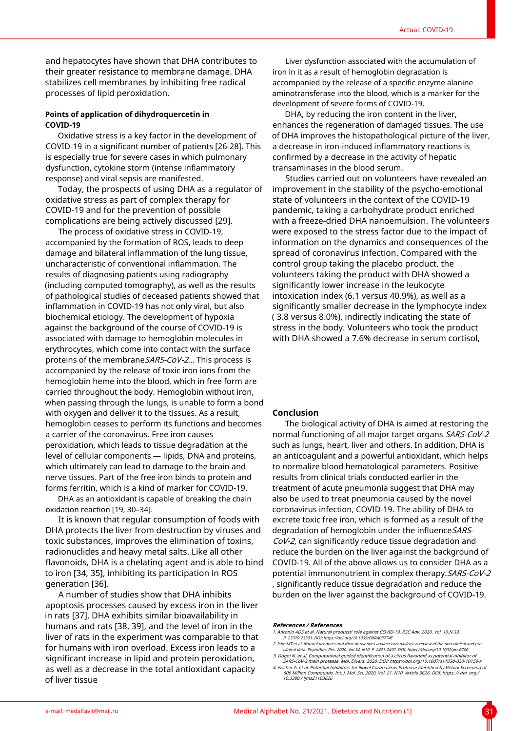and hepatocytes have shown that DHA contributes to their greater resistance to membrane damage. DHA stabilizes cell membranes by inhibiting free radical processes of lipid peroxidation.

# **Points of application of dihydroquercetin in COVID-19**

Oxidative stress is a key factor in the development of COVID-19 in a significant number of patients [26-28]. This is especially true for severe cases in which pulmonary dysfunction, cytokine storm (intense inflammatory response) and viral sepsis are manifested.

Today, the prospects of using DHA as a regulator of oxidative stress as part of complex therapy for COVID-19 and for the prevention of possible complications are being actively discussed [29].

The process of oxidative stress in COVID-19, accompanied by the formation of ROS, leads to deep damage and bilateral inflammation of the lung tissue, uncharacteristic of conventional inflammation. The results of diagnosing patients using radiography (including computed tomography), as well as the results of pathological studies of deceased patients showed that inflammation in COVID-19 has not only viral, but also biochemical etiology. The development of hypoxia against the background of the course of COVID-19 is associated with damage to hemoglobin molecules in erythrocytes, which come into contact with the surface proteins of the membrane SARS-CoV-2... This process is accompanied by the release of toxic iron ions from the hemoglobin heme into the blood, which in free form are carried throughout the body. Hemoglobin without iron, when passing through the lungs, is unable to form a bond with oxygen and deliver it to the tissues. As a result, hemoglobin ceases to perform its functions and becomes a carrier of the coronavirus. Free iron causes peroxidation, which leads to tissue degradation at the level of cellular components — lipids, DNA and proteins, which ultimately can lead to damage to the brain and nerve tissues. Part of the free iron binds to protein and forms ferritin, which is a kind of marker for COVID-19.

DHA as an antioxidant is capable of breaking the chain oxidation reaction [19, 30–34].

It is known that regular consumption of foods with DHA protects the liver from destruction by viruses and toxic substances, improves the elimination of toxins, radionuclides and heavy metal salts. Like all other flavonoids, DHA is a chelating agent and is able to bind to iron [34, 35], inhibiting its participation in ROS generation [36].

A number of studies show that DHA inhibits apoptosis processes caused by excess iron in the liver in rats [37]. DHA exhibits similar bioavailability in humans and rats [38, 39], and the level of iron in the liver of rats in the experiment was comparable to that for humans with iron overload. Excess iron leads to a significant increase in lipid and protein peroxidation, as well as a decrease in the total antioxidant capacity of liver tissue

Liver dysfunction associated with the accumulation of iron in it as a result of hemoglobin degradation is accompanied by the release of a specific enzyme alanine aminotransferase into the blood, which is a marker for the development of severe forms of COVID-19.

DHA, by reducing the iron content in the liver, enhances the regeneration of damaged tissues. The use of DHA improves the histopathological picture of the liver, a decrease in iron-induced inflammatory reactions is confirmed by a decrease in the activity of hepatic transaminases in the blood serum.

Studies carried out on volunteers have revealed an improvement in the stability of the psycho-emotional state of volunteers in the context of the COVID-19 pandemic, taking a carbohydrate product enriched with a freeze-dried DHA nanoemulsion. The volunteers were exposed to the stress factor due to the impact of information on the dynamics and consequences of the spread of coronavirus infection. Compared with the control group taking the placebo product, the volunteers taking the product with DHA showed a significantly lower increase in the leukocyte intoxication index (6.1 versus 40.9%), as well as a significantly smaller decrease in the lymphocyte index ( 3.8 versus 8.0%), indirectly indicating the state of stress in the body. Volunteers who took the product with DHA showed a 7.6% decrease in serum cortisol,

# **Conclusion**

The biological activity of DHA is aimed at restoring the normal functioning of all major target organs SARS-CoV-2 such as lungs, heart, liver and others. In addition, DHA is an anticoagulant and a powerful antioxidant, which helps to normalize blood hematological parameters. Positive results from clinical trials conducted earlier in the treatment of acute pneumonia suggest that DHA may also be used to treat pneumonia caused by the novel coronavirus infection, COVID-19. The ability of DHA to excrete toxic free iron, which is formed as a result of the degradation of hemoglobin under the influence SARS-CoV-2, can significantly reduce tissue degradation and reduce the burden on the liver against the background of COVID-19. All of the above allows us to consider DHA as a potential immunonutrient in complex therapy.SARS-CoV-2 , significantly reduce tissue degradation and reduce the burden on the liver against the background of COVID-19.

#### **References / References**

- 1. Antonio ADS et al. Natural products' role against COVID-19. RSC Adv. 2020. Vol. 10.N 39. P. 23379-23393. DOI: https://doi.org/10.1039/D0RA03774E
- 2. Islm MT et al. Natural products and their derivatives against coronavirus: A review of the non-clinical and preclinical data. Phytother. Res. 2020. Vol 34. N10. P. 2471-2492. DOI: https://doi.org/10.1002/ptr.6700
- 3. Gogoi N. et al. Computational guided identification of a citrus flavonoid as potential inhibitor of<br>SARS-COV-2 main protease. Mol. Divers. 2020. DOI: https://doi.org/10.1007/511030-20-10150-x<br>A. Fischer A. et al. Potent

606 Million Compounds. Int. J. Mol. Sci. 2020. Vol. 21. N10. Article 3626. DOI: https: // doi. org / 10.3390 / ijms21103626